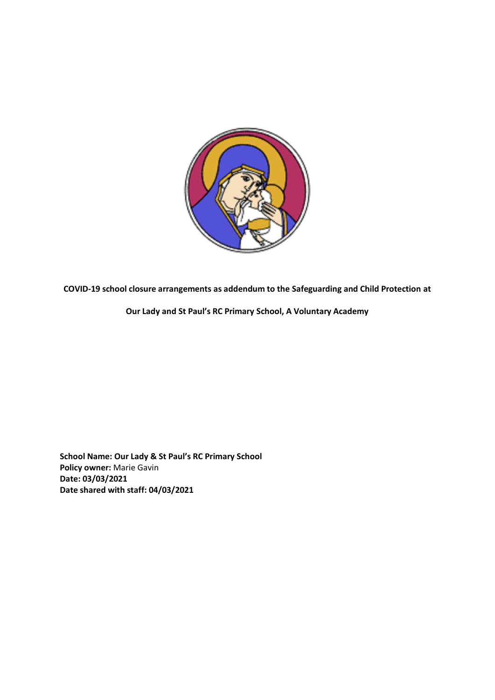

**COVID-19 school closure arrangements as addendum to the Safeguarding and Child Protection at**

**Our Lady and St Paul's RC Primary School, A Voluntary Academy**

**School Name: Our Lady & St Paul's RC Primary School Policy owner:** Marie Gavin **Date: 03/03/2021 Date shared with staff: 04/03/2021**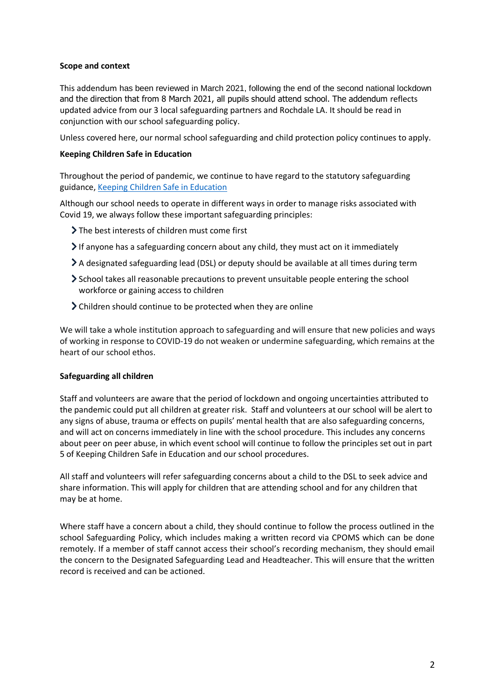### **Scope and context**

This addendum has been reviewed in March 2021, following the end of the second national lockdown and the direction that from 8 March 2021, all pupils should attend school. The addendum reflects updated advice from our 3 local safeguarding partners and Rochdale LA. It should be read in conjunction with our school safeguarding policy.

Unless covered here, our normal school safeguarding and child protection policy continues to apply.

### **Keeping Children Safe in Education**

Throughout the period of pandemic, we continue to have regard to the statutory safeguarding guidance[, Keeping Children Safe in Education](https://www.gov.uk/government/publications/keeping-children-safe-in-education--2)

Although our school needs to operate in different ways in order to manage risks associated with Covid 19, we always follow these important safeguarding principles:

- The best interests of children must come first
- $\blacktriangleright$  If anyone has a safeguarding concern about any child, they must act on it immediately
- A designated safeguarding lead (DSL) or deputy should be available at all times during term
- $\geq$  School takes all reasonable precautions to prevent unsuitable people entering the school workforce or gaining access to children
- Children should continue to be protected when they are online

We will take a whole institution approach to safeguarding and will ensure that new policies and ways of working in response to COVID-19 do not weaken or undermine safeguarding, which remains at the heart of our school ethos.

### **Safeguarding all children**

Staff and volunteers are aware that the period of lockdown and ongoing uncertainties attributed to the pandemic could put all children at greater risk. Staff and volunteers at our school will be alert to any signs of abuse, trauma or effects on pupils' mental health that are also safeguarding concerns, and will act on concerns immediately in line with the school procedure. This includes any concerns about peer on peer abuse, in which event school will continue to follow the principles set out in part 5 of Keeping Children Safe in Education and our school procedures.

All staff and volunteers will refer safeguarding concerns about a child to the DSL to seek advice and share information. This will apply for children that are attending school and for any children that may be at home.

Where staff have a concern about a child, they should continue to follow the process outlined in the school Safeguarding Policy, which includes making a written record via CPOMS which can be done remotely. If a member of staff cannot access their school's recording mechanism, they should email the concern to the Designated Safeguarding Lead and Headteacher. This will ensure that the written record is received and can be actioned.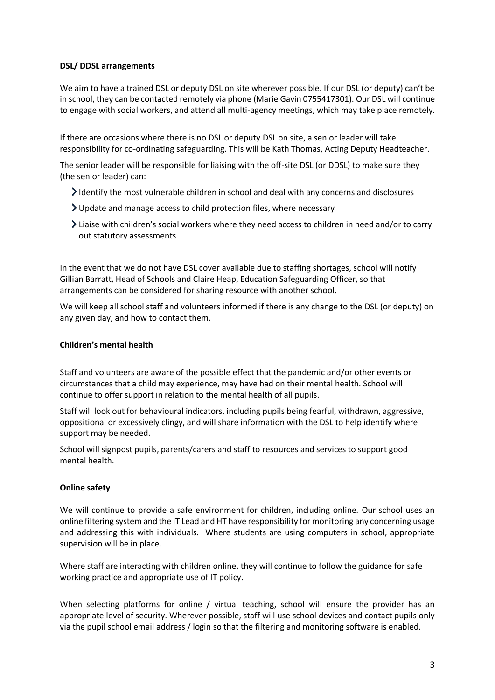### **DSL/ DDSL arrangements**

We aim to have a trained DSL or deputy DSL on site wherever possible. If our DSL (or deputy) can't be in school, they can be contacted remotely via phone (Marie Gavin 0755417301). Our DSL will continue to engage with social workers, and attend all multi-agency meetings, which may take place remotely.

If there are occasions where there is no DSL or deputy DSL on site, a senior leader will take responsibility for co-ordinating safeguarding. This will be Kath Thomas, Acting Deputy Headteacher.

The senior leader will be responsible for liaising with the off-site DSL (or DDSL) to make sure they (the senior leader) can:

- $\blacktriangleright$  Identify the most vulnerable children in school and deal with any concerns and disclosures
- Update and manage access to child protection files, where necessary
- Liaise with children's social workers where they need access to children in need and/or to carry out statutory assessments

In the event that we do not have DSL cover available due to staffing shortages, school will notify Gillian Barratt, Head of Schools and Claire Heap, Education Safeguarding Officer, so that arrangements can be considered for sharing resource with another school.

We will keep all school staff and volunteers informed if there is any change to the DSL (or deputy) on any given day, and how to contact them.

## **Children's mental health**

Staff and volunteers are aware of the possible effect that the pandemic and/or other events or circumstances that a child may experience, may have had on their mental health. School will continue to offer support in relation to the mental health of all pupils.

Staff will look out for behavioural indicators, including pupils being fearful, withdrawn, aggressive, oppositional or excessively clingy, and will share information with the DSL to help identify where support may be needed.

School will signpost pupils, parents/carers and staff to resources and services to support good mental health.

## **Online safety**

We will continue to provide a safe environment for children, including online. Our school uses an online filtering system and the IT Lead and HT have responsibility for monitoring any concerning usage and addressing this with individuals. Where students are using computers in school, appropriate supervision will be in place.

Where staff are interacting with children online, they will continue to follow the guidance for safe working practice and appropriate use of IT policy.

When selecting platforms for online / virtual teaching, school will ensure the provider has an appropriate level of security. Wherever possible, staff will use school devices and contact pupils only via the pupil school email address / login so that the filtering and monitoring software is enabled.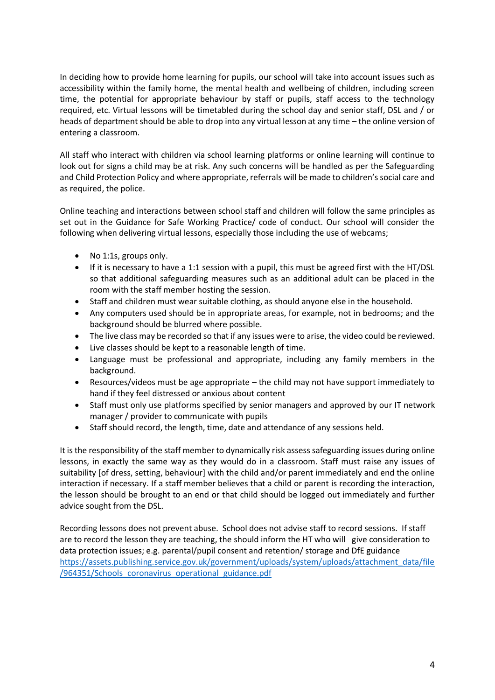In deciding how to provide home learning for pupils, our school will take into account issues such as accessibility within the family home, the mental health and wellbeing of children, including screen time, the potential for appropriate behaviour by staff or pupils, staff access to the technology required, etc. Virtual lessons will be timetabled during the school day and senior staff, DSL and / or heads of department should be able to drop into any virtual lesson at any time – the online version of entering a classroom.

All staff who interact with children via school learning platforms or online learning will continue to look out for signs a child may be at risk. Any such concerns will be handled as per the Safeguarding and Child Protection Policy and where appropriate, referrals will be made to children's social care and as required, the police.

Online teaching and interactions between school staff and children will follow the same principles as set out in the Guidance for Safe Working Practice/ code of conduct. Our school will consider the following when delivering virtual lessons, especially those including the use of webcams;

- No 1:1s, groups only.
- If it is necessary to have a 1:1 session with a pupil, this must be agreed first with the HT/DSL so that additional safeguarding measures such as an additional adult can be placed in the room with the staff member hosting the session.
- Staff and children must wear suitable clothing, as should anyone else in the household.
- Any computers used should be in appropriate areas, for example, not in bedrooms; and the background should be blurred where possible.
- The live class may be recorded so that if any issues were to arise, the video could be reviewed.
- Live classes should be kept to a reasonable length of time.
- Language must be professional and appropriate, including any family members in the background.
- Resources/videos must be age appropriate the child may not have support immediately to hand if they feel distressed or anxious about content
- Staff must only use platforms specified by senior managers and approved by our IT network manager / provider to communicate with pupils
- Staff should record, the length, time, date and attendance of any sessions held.

It is the responsibility of the staff member to dynamically risk assess safeguarding issues during online lessons, in exactly the same way as they would do in a classroom. Staff must raise any issues of suitability [of dress, setting, behaviour] with the child and/or parent immediately and end the online interaction if necessary. If a staff member believes that a child or parent is recording the interaction, the lesson should be brought to an end or that child should be logged out immediately and further advice sought from the DSL.

Recording lessons does not prevent abuse. School does not advise staff to record sessions. If staff are to record the lesson they are teaching, the should inform the HT who will give consideration to data protection issues; e.g. parental/pupil consent and retention/ storage and DfE guidance [https://assets.publishing.service.gov.uk/government/uploads/system/uploads/attachment\\_data/file](https://assets.publishing.service.gov.uk/government/uploads/system/uploads/attachment_data/file/964351/Schools_coronavirus_operational_guidance.pdf) [/964351/Schools\\_coronavirus\\_operational\\_guidance.pdf](https://assets.publishing.service.gov.uk/government/uploads/system/uploads/attachment_data/file/964351/Schools_coronavirus_operational_guidance.pdf)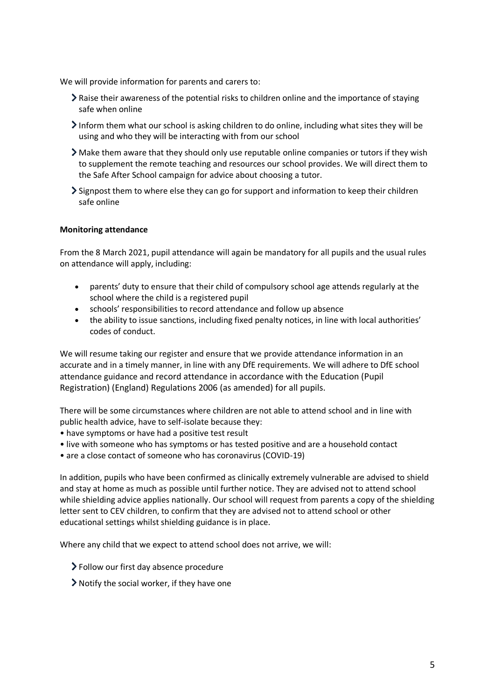We will provide information for parents and carers to:

- $\geq$  Raise their awareness of the potential risks to children online and the importance of staying safe when online
- Inform them what our school is asking children to do online, including what sites they will be using and who they will be interacting with from our school
- $\triangleright$  Make them aware that they should only use reputable online companies or tutors if they wish to supplement the remote teaching and resources our school provides. We will direct them to the Safe After School campaign for advice about choosing a tutor.
- $\sum$  Signpost them to where else they can go for support and information to keep their children safe online

### **Monitoring attendance**

From the 8 March 2021, pupil attendance will again be mandatory for all pupils and the usual rules on attendance will apply, including:

- parents' duty to ensure that their child of compulsory school age attends regularly at the school where the child is a registered pupil
- schools' responsibilities to record attendance and follow up absence
- the ability to issue sanctions, including fixed penalty notices, in line with local authorities' codes of conduct.

We will resume taking our register and ensure that we provide attendance information in an accurate and in a timely manner, in line with any DfE requirements. We will adhere to DfE school attendance guidance and record attendance in accordance with the Education (Pupil Registration) (England) Regulations 2006 (as amended) for all pupils.

There will be some circumstances where children are not able to attend school and in line with public health advice, have to self-isolate because they:

- have symptoms or have had a positive test result
- live with someone who has symptoms or has tested positive and are a household contact
- are a close contact of someone who has coronavirus (COVID-19)

In addition, pupils who have been confirmed as clinically extremely vulnerable are advised to shield and stay at home as much as possible until further notice. They are advised not to attend school while shielding advice applies nationally. Our school will request from parents a copy of the shielding letter sent to CEV children, to confirm that they are advised not to attend school or other educational settings whilst shielding guidance is in place.

Where any child that we expect to attend school does not arrive, we will:

- Follow our first day absence procedure
- Notify the social worker, if they have one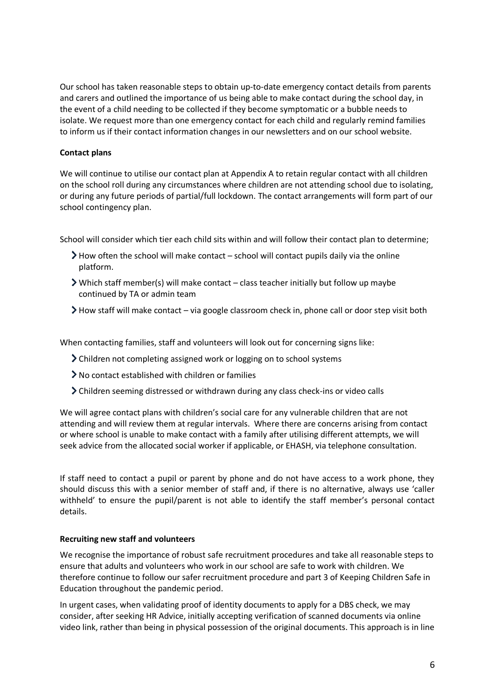Our school has taken reasonable steps to obtain up-to-date emergency contact details from parents and carers and outlined the importance of us being able to make contact during the school day, in the event of a child needing to be collected if they become symptomatic or a bubble needs to isolate. We request more than one emergency contact for each child and regularly remind families to inform us if their contact information changes in our newsletters and on our school website.

### **Contact plans**

We will continue to utilise our contact plan at Appendix A to retain regular contact with all children on the school roll during any circumstances where children are not attending school due to isolating, or during any future periods of partial/full lockdown. The contact arrangements will form part of our school contingency plan.

School will consider which tier each child sits within and will follow their contact plan to determine;

- $\blacktriangleright$  How often the school will make contact school will contact pupils daily via the online platform.
- $\triangleright$  Which staff member(s) will make contact class teacher initially but follow up maybe continued by TA or admin team
- $\blacktriangleright$  How staff will make contact via google classroom check in, phone call or door step visit both

When contacting families, staff and volunteers will look out for concerning signs like:

- Children not completing assigned work or logging on to school systems
- $\geq$  No contact established with children or families
- Children seeming distressed or withdrawn during any class check-ins or video calls

We will agree contact plans with children's social care for any vulnerable children that are not attending and will review them at regular intervals. Where there are concerns arising from contact or where school is unable to make contact with a family after utilising different attempts, we will seek advice from the allocated social worker if applicable, or EHASH, via telephone consultation.

If staff need to contact a pupil or parent by phone and do not have access to a work phone, they should discuss this with a senior member of staff and, if there is no alternative, always use 'caller withheld' to ensure the pupil/parent is not able to identify the staff member's personal contact details.

### **Recruiting new staff and volunteers**

We recognise the importance of robust safe recruitment procedures and take all reasonable steps to ensure that adults and volunteers who work in our school are safe to work with children. We therefore continue to follow our safer recruitment procedure and part 3 of Keeping Children Safe in Education throughout the pandemic period.

In urgent cases, when validating proof of identity documents to apply for a DBS check, we may consider, after seeking HR Advice, initially accepting verification of scanned documents via online video link, rather than being in physical possession of the original documents. This approach is in line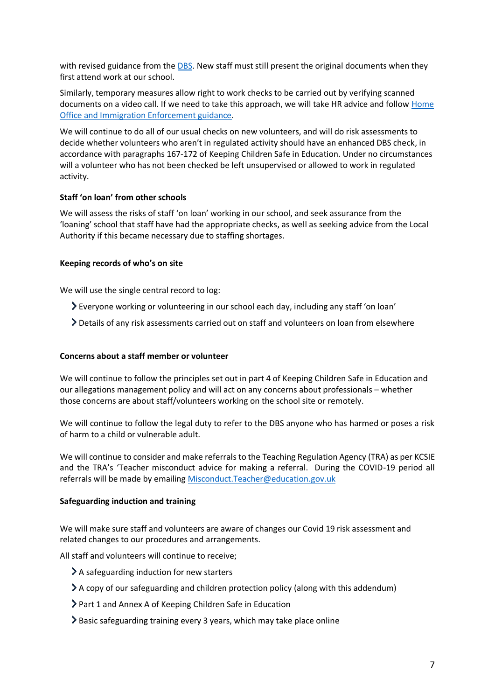with revised guidance from the [DBS.](https://www.gov.uk/government/news/covid-19-changes-to-dbs-id-checking-guidelines) New staff must still present the original documents when they first attend work at our school.

Similarly, temporary measures allow right to work checks to be carried out by verifying scanned documents on a video call. If we need to take this approach, we will take HR advice and follow Home [Office and Immigration Enforcement guidance.](https://www.gov.uk/guidance/coronavirus-covid-19-right-to-work-checks)

We will continue to do all of our usual checks on new volunteers, and will do risk assessments to decide whether volunteers who aren't in regulated activity should have an enhanced DBS check, in accordance with paragraphs 167-172 of Keeping Children Safe in Education. Under no circumstances will a volunteer who has not been checked be left unsupervised or allowed to work in regulated activity.

## **Staff 'on loan' from other schools**

We will assess the risks of staff 'on loan' working in our school, and seek assurance from the 'loaning' school that staff have had the appropriate checks, as well as seeking advice from the Local Authority if this became necessary due to staffing shortages.

### **Keeping records of who's on site**

We will use the single central record to log:

- Everyone working or volunteering in our school each day, including any staff 'on loan'
- Details of any risk assessments carried out on staff and volunteers on loan from elsewhere

## **Concerns about a staff member or volunteer**

We will continue to follow the principles set out in part 4 of Keeping Children Safe in Education and our allegations management policy and will act on any concerns about professionals – whether those concerns are about staff/volunteers working on the school site or remotely.

We will continue to follow the legal duty to refer to the DBS anyone who has harmed or poses a risk of harm to a child or vulnerable adult.

We will continue to consider and make referrals to the Teaching Regulation Agency (TRA) as per KCSIE and the TRA's 'Teacher misconduct advice for making a referral. During the COVID-19 period all referrals will be made by emailin[g Misconduct.Teacher@education.gov.uk](mailto:Misconduct.Teacher@education.gov.uk)

### **Safeguarding induction and training**

We will make sure staff and volunteers are aware of changes our Covid 19 risk assessment and related changes to our procedures and arrangements.

All staff and volunteers will continue to receive;

- A safeguarding induction for new starters
- $\geq$  A copy of our safeguarding and children protection policy (along with this addendum)
- Part 1 and Annex A of Keeping Children Safe in Education
- Basic safeguarding training every 3 years, which may take place online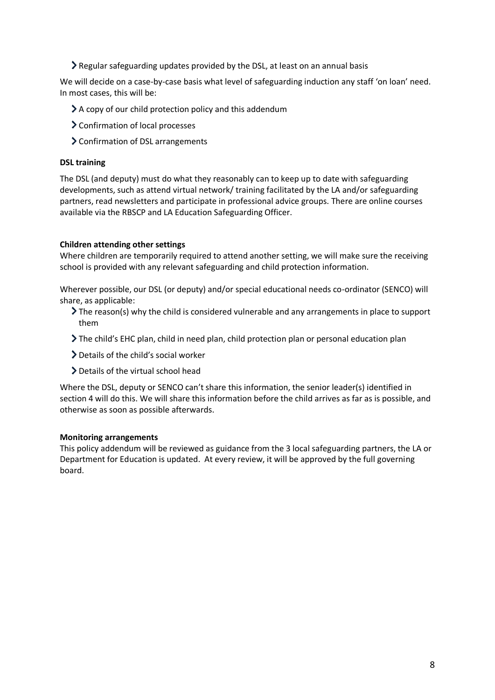Regular safeguarding updates provided by the DSL, at least on an annual basis

We will decide on a case-by-case basis what level of safeguarding induction any staff 'on loan' need. In most cases, this will be:

- $\geq$  A copy of our child protection policy and this addendum
- Confirmation of local processes
- Confirmation of DSL arrangements

### **DSL training**

The DSL (and deputy) must do what they reasonably can to keep up to date with safeguarding developments, such as attend virtual network/ training facilitated by the LA and/or safeguarding partners, read newsletters and participate in professional advice groups. There are online courses available via the RBSCP and LA Education Safeguarding Officer.

### **Children attending other settings**

Where children are temporarily required to attend another setting, we will make sure the receiving school is provided with any relevant safeguarding and child protection information.

Wherever possible, our DSL (or deputy) and/or special educational needs co-ordinator (SENCO) will share, as applicable:

- The reason(s) why the child is considered vulnerable and any arrangements in place to support them
- The child's EHC plan, child in need plan, child protection plan or personal education plan
- Details of the child's social worker
- Details of the virtual school head

Where the DSL, deputy or SENCO can't share this information, the senior leader(s) identified in section 4 will do this. We will share this information before the child arrives as far as is possible, and otherwise as soon as possible afterwards.

### **Monitoring arrangements**

This policy addendum will be reviewed as guidance from the 3 local safeguarding partners, the LA or Department for Education is updated. At every review, it will be approved by the full governing board.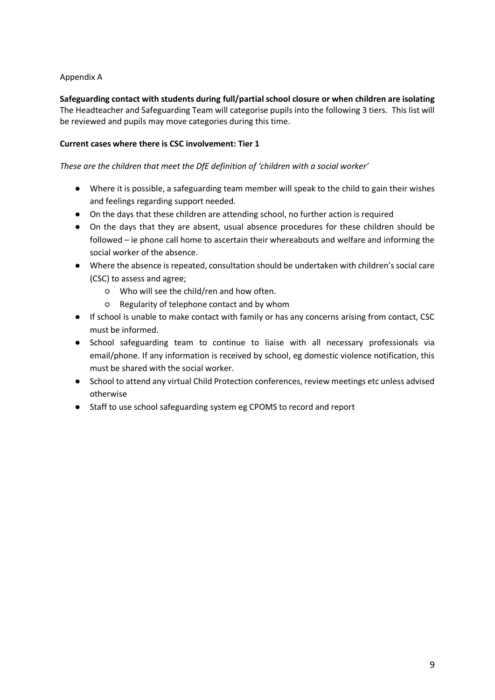# Appendix A

**Safeguarding contact with students during full/partialschool closure or when children are isolating**

The Headteacher and Safeguarding Team will categorise pupils into the following 3 tiers. This list will be reviewed and pupils may move categories during this time.

## **Current cases where there is CSC involvement: Tier 1**

*These are the children that meet the DfE definition of 'children with a social worker'* 

- Where it is possible, a safeguarding team member will speak to the child to gain their wishes and feelings regarding support needed.
- On the days that these children are attending school, no further action is required
- On the days that they are absent, usual absence procedures for these children should be followed – ie phone call home to ascertain their whereabouts and welfare and informing the social worker of the absence.
- Where the absence is repeated, consultation should be undertaken with children's social care (CSC) to assess and agree;
	- Who will see the child/ren and how often.
	- Regularity of telephone contact and by whom
- If school is unable to make contact with family or has any concerns arising from contact, CSC must be informed.
- School safeguarding team to continue to liaise with all necessary professionals via email/phone. If any information is received by school, eg domestic violence notification, this must be shared with the social worker.
- School to attend any virtual Child Protection conferences, review meetings etc unless advised otherwise
- Staff to use school safeguarding system eg CPOMS to record and report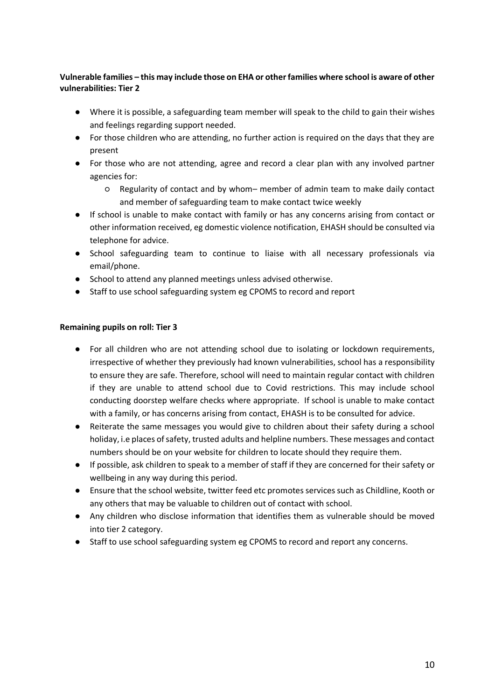# **Vulnerable families – this may include those on EHA or other families where school is aware of other vulnerabilities: Tier 2**

- Where it is possible, a safeguarding team member will speak to the child to gain their wishes and feelings regarding support needed.
- For those children who are attending, no further action is required on the days that they are present
- For those who are not attending, agree and record a clear plan with any involved partner agencies for:
	- Regularity of contact and by whom– member of admin team to make daily contact and member of safeguarding team to make contact twice weekly
- If school is unable to make contact with family or has any concerns arising from contact or other information received, eg domestic violence notification, EHASH should be consulted via telephone for advice.
- School safeguarding team to continue to liaise with all necessary professionals via email/phone.
- School to attend any planned meetings unless advised otherwise.
- Staff to use school safeguarding system eg CPOMS to record and report

## **Remaining pupils on roll: Tier 3**

- For all children who are not attending school due to isolating or lockdown requirements, irrespective of whether they previously had known vulnerabilities, school has a responsibility to ensure they are safe. Therefore, school will need to maintain regular contact with children if they are unable to attend school due to Covid restrictions. This may include school conducting doorstep welfare checks where appropriate. If school is unable to make contact with a family, or has concerns arising from contact, EHASH is to be consulted for advice.
- Reiterate the same messages you would give to children about their safety during a school holiday, i.e places of safety, trusted adults and helpline numbers. These messages and contact numbers should be on your website for children to locate should they require them.
- If possible, ask children to speak to a member of staff if they are concerned for their safety or wellbeing in any way during this period.
- Ensure that the school website, twitter feed etc promotes services such as Childline, Kooth or any others that may be valuable to children out of contact with school.
- Any children who disclose information that identifies them as vulnerable should be moved into tier 2 category.
- Staff to use school safeguarding system eg CPOMS to record and report any concerns.